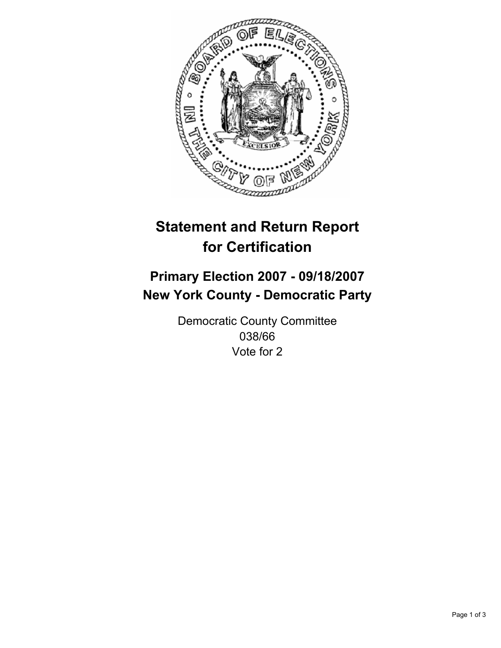

# **Statement and Return Report for Certification**

## **Primary Election 2007 - 09/18/2007 New York County - Democratic Party**

Democratic County Committee 038/66 Vote for 2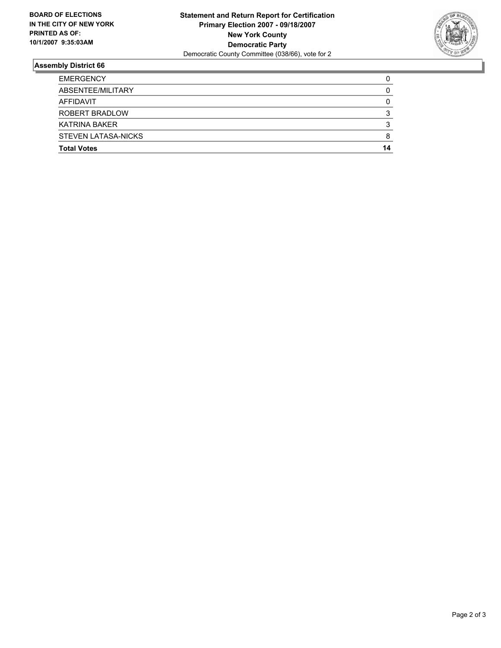

### **Assembly District 66**

| <b>EMERGENCY</b>      |    |
|-----------------------|----|
| ABSENTEE/MILITARY     |    |
| AFFIDAVIT             |    |
| <b>ROBERT BRADLOW</b> |    |
| KATRINA BAKER         |    |
| STEVEN LATASA-NICKS   | 8  |
| <b>Total Votes</b>    | 14 |